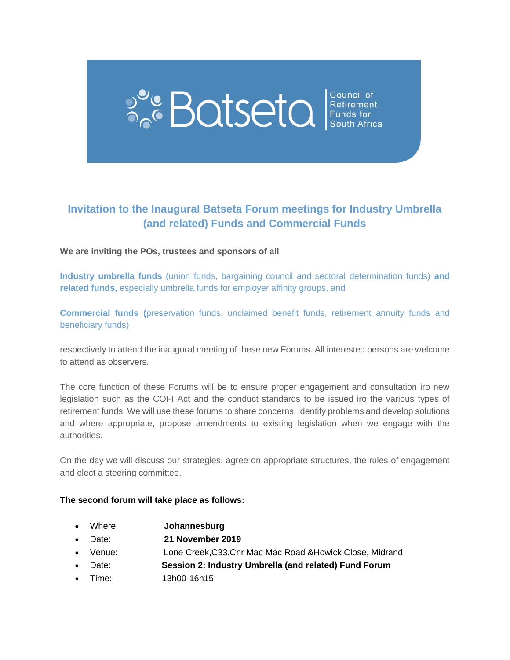# **PC BOISEIC** Setirement

### **Invitation to the Inaugural Batseta Forum meetings for Industry Umbrella (and related) Funds and Commercial Funds**

#### **We are inviting the POs, trustees and sponsors of all**

**Industry umbrella funds** (union funds, bargaining council and sectoral determination funds) **and related funds,** especially umbrella funds for employer affinity groups, and

**Commercial funds (**preservation funds, unclaimed benefit funds, retirement annuity funds and beneficiary funds)

respectively to attend the inaugural meeting of these new Forums. All interested persons are welcome to attend as observers.

The core function of these Forums will be to ensure proper engagement and consultation iro new legislation such as the COFI Act and the conduct standards to be issued iro the various types of retirement funds. We will use these forums to share concerns, identify problems and develop solutions and where appropriate, propose amendments to existing legislation when we engage with the authorities.

On the day we will discuss our strategies, agree on appropriate structures, the rules of engagement and elect a steering committee.

#### **The second forum will take place as follows:**

- Where: **Johannesburg**
- Date: **21 November 2019**
- Venue: Lone Creek,C33.Cnr Mac Mac Road &Howick Close, Midrand
- Date: **Session 2: Industry Umbrella (and related) Fund Forum**
- Time: 13h00-16h15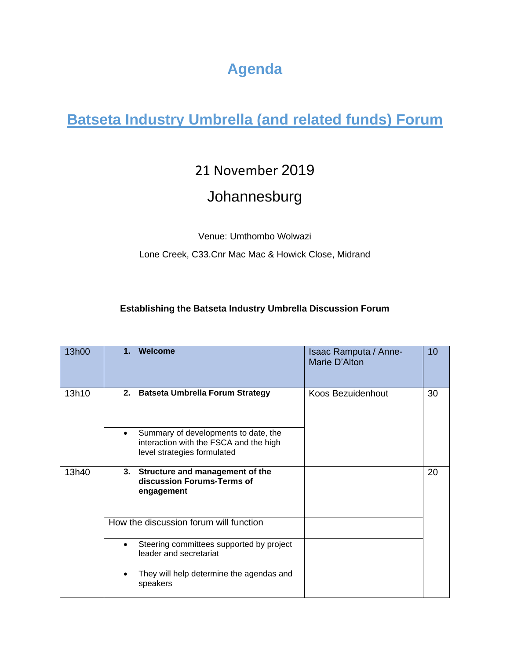# **Agenda**

# **Batseta Industry Umbrella (and related funds) Forum**

## 21 November 2019

## Johannesburg

Venue: Umthombo Wolwazi

Lone Creek, C33.Cnr Mac Mac & Howick Close, Midrand

#### **Establishing the Batseta Industry Umbrella Discussion Forum**

| 13h00 | 1.        | Welcome                                                                                                       | Isaac Ramputa / Anne-<br>Marie D'Alton | 10 |
|-------|-----------|---------------------------------------------------------------------------------------------------------------|----------------------------------------|----|
| 13h10 | 2.        | <b>Batseta Umbrella Forum Strategy</b>                                                                        | Koos Bezuidenhout                      | 30 |
|       | $\bullet$ | Summary of developments to date, the<br>interaction with the FSCA and the high<br>level strategies formulated |                                        |    |
| 13h40 |           | 3. Structure and management of the<br>discussion Forums-Terms of<br>engagement                                |                                        | 20 |
|       |           | How the discussion forum will function                                                                        |                                        |    |
|       |           | Steering committees supported by project<br>leader and secretariat                                            |                                        |    |
|       |           | They will help determine the agendas and<br>speakers                                                          |                                        |    |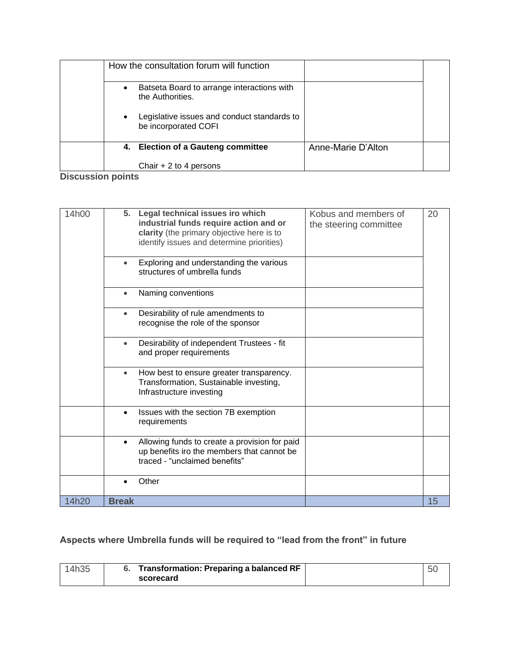|           | How the consultation forum will function                            |                    |  |
|-----------|---------------------------------------------------------------------|--------------------|--|
| $\bullet$ | Batseta Board to arrange interactions with<br>the Authorities.      |                    |  |
| $\bullet$ | Legislative issues and conduct standards to<br>be incorporated COFI |                    |  |
|           | 4. Election of a Gauteng committee                                  | Anne-Marie D'Alton |  |
|           | Chair $+2$ to 4 persons                                             |                    |  |

**Discussion points**

| 14h00 | 5. Legal technical issues iro which<br>Kobus and members of<br>industrial funds require action and or<br>the steering committee<br>clarity (the primary objective here is to<br>identify issues and determine priorities) | 20 |
|-------|---------------------------------------------------------------------------------------------------------------------------------------------------------------------------------------------------------------------------|----|
|       | Exploring and understanding the various<br>structures of umbrella funds                                                                                                                                                   |    |
|       | Naming conventions<br>$\bullet$                                                                                                                                                                                           |    |
|       | Desirability of rule amendments to<br>$\bullet$<br>recognise the role of the sponsor                                                                                                                                      |    |
|       | Desirability of independent Trustees - fit<br>$\bullet$<br>and proper requirements                                                                                                                                        |    |
|       | How best to ensure greater transparency.<br>$\bullet$<br>Transformation, Sustainable investing,<br>Infrastructure investing                                                                                               |    |
|       | Issues with the section 7B exemption<br>$\bullet$<br>requirements                                                                                                                                                         |    |
|       | Allowing funds to create a provision for paid<br>up benefits iro the members that cannot be<br>traced - "unclaimed benefits"                                                                                              |    |
|       | Other                                                                                                                                                                                                                     |    |
| 14h20 | <b>Break</b>                                                                                                                                                                                                              | 15 |

### **Aspects where Umbrella funds will be required to "lead from the front" in future**

| 14h35 | <b>Transformation: Preparing a balanced RF</b> |  |
|-------|------------------------------------------------|--|
|       | scorecard                                      |  |